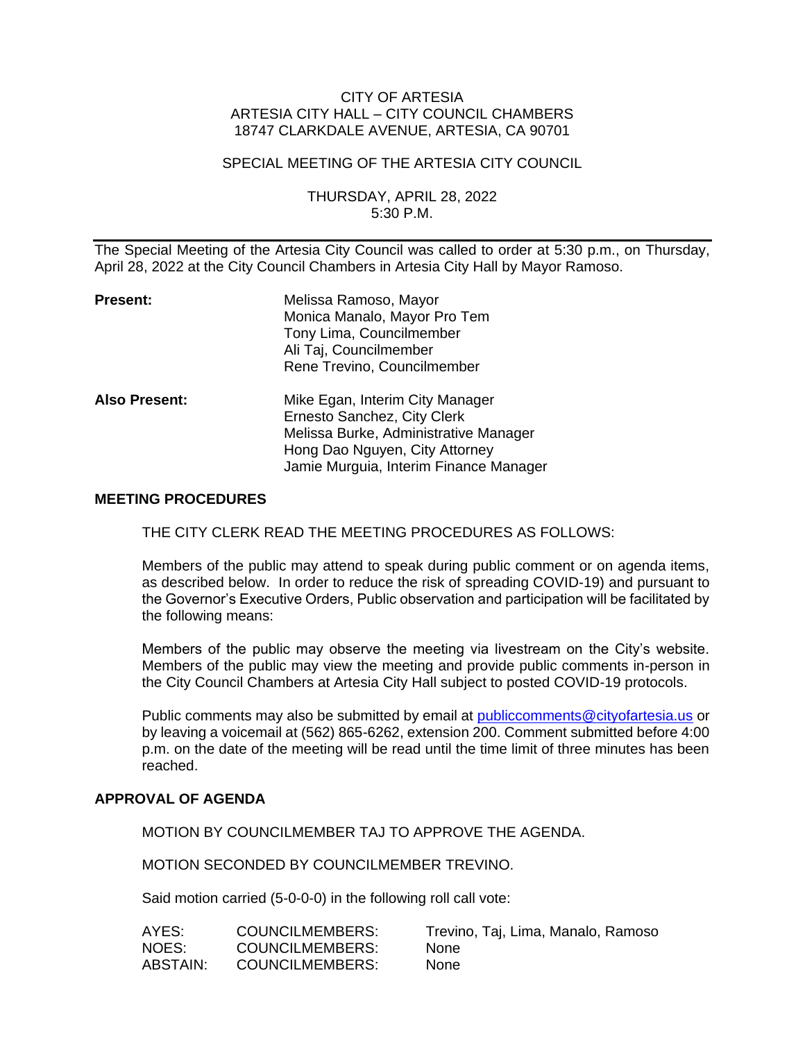## CITY OF ARTESIA ARTESIA CITY HALL – CITY COUNCIL CHAMBERS 18747 CLARKDALE AVENUE, ARTESIA, CA 90701

## SPECIAL MEETING OF THE ARTESIA CITY COUNCIL

## THURSDAY, APRIL 28, 2022 5:30 P.M.

The Special Meeting of the Artesia City Council was called to order at 5:30 p.m., on Thursday, April 28, 2022 at the City Council Chambers in Artesia City Hall by Mayor Ramoso.

| <b>Present:</b>      | Melissa Ramoso, Mayor<br>Monica Manalo, Mayor Pro Tem<br>Tony Lima, Councilmember<br>Ali Taj, Councilmember<br>Rene Trevino, Councilmember                                          |
|----------------------|-------------------------------------------------------------------------------------------------------------------------------------------------------------------------------------|
| <b>Also Present:</b> | Mike Egan, Interim City Manager<br>Ernesto Sanchez, City Clerk<br>Melissa Burke, Administrative Manager<br>Hong Dao Nguyen, City Attorney<br>Jamie Murguia, Interim Finance Manager |

#### **MEETING PROCEDURES**

THE CITY CLERK READ THE MEETING PROCEDURES AS FOLLOWS:

Members of the public may attend to speak during public comment or on agenda items, as described below. In order to reduce the risk of spreading COVID-19) and pursuant to the Governor's Executive Orders, Public observation and participation will be facilitated by the following means:

Members of the public may observe the meeting via livestream on the City's website. Members of the public may view the meeting and provide public comments in-person in the City Council Chambers at Artesia City Hall subject to posted COVID-19 protocols.

Public comments may also be submitted by email at [publiccomments@cityofartesia.us](mailto:publiccomments@cityofartesia.us) or by leaving a voicemail at (562) 865-6262, extension 200. Comment submitted before 4:00 p.m. on the date of the meeting will be read until the time limit of three minutes has been reached.

### **APPROVAL OF AGENDA**

MOTION BY COUNCILMEMBER TAJ TO APPROVE THE AGENDA.

MOTION SECONDED BY COUNCILMEMBER TREVINO.

Said motion carried (5-0-0-0) in the following roll call vote:

| AYES:    | <b>COUNCILMEMBERS:</b> | Trevino, Taj, Lima, Manalo, Ramoso |
|----------|------------------------|------------------------------------|
| NOES:    | COUNCILMEMBERS:        | <b>None</b>                        |
| ABSTAIN: | <b>COUNCILMEMBERS:</b> | <b>None</b>                        |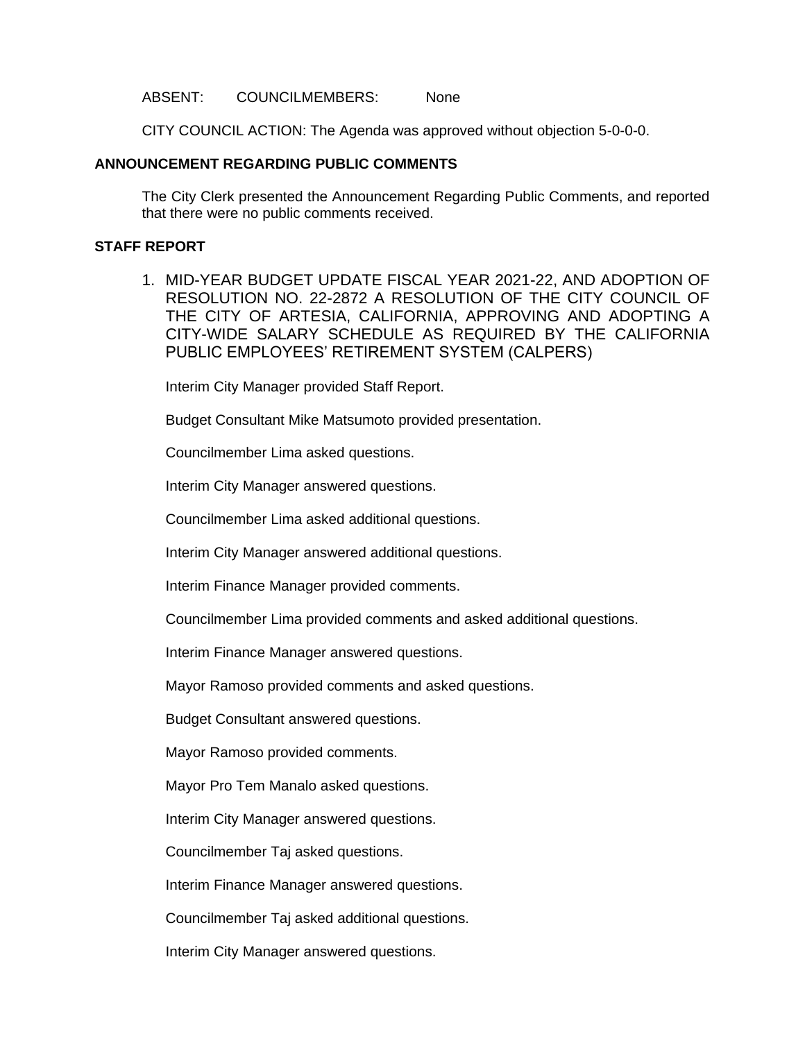#### ABSENT: COUNCILMEMBERS: None

CITY COUNCIL ACTION: The Agenda was approved without objection 5-0-0-0.

## **ANNOUNCEMENT REGARDING PUBLIC COMMENTS**

The City Clerk presented the Announcement Regarding Public Comments, and reported that there were no public comments received.

## **STAFF REPORT**

1. MID-YEAR BUDGET UPDATE FISCAL YEAR 2021-22, AND ADOPTION OF RESOLUTION NO. 22-2872 A RESOLUTION OF THE CITY COUNCIL OF THE CITY OF ARTESIA, CALIFORNIA, APPROVING AND ADOPTING A CITY-WIDE SALARY SCHEDULE AS REQUIRED BY THE CALIFORNIA PUBLIC EMPLOYEES' RETIREMENT SYSTEM (CALPERS)

Interim City Manager provided Staff Report.

Budget Consultant Mike Matsumoto provided presentation.

Councilmember Lima asked questions.

Interim City Manager answered questions.

Councilmember Lima asked additional questions.

Interim City Manager answered additional questions.

Interim Finance Manager provided comments.

Councilmember Lima provided comments and asked additional questions.

Interim Finance Manager answered questions.

Mayor Ramoso provided comments and asked questions.

Budget Consultant answered questions.

Mayor Ramoso provided comments.

Mayor Pro Tem Manalo asked questions.

Interim City Manager answered questions.

Councilmember Taj asked questions.

Interim Finance Manager answered questions.

Councilmember Taj asked additional questions.

Interim City Manager answered questions.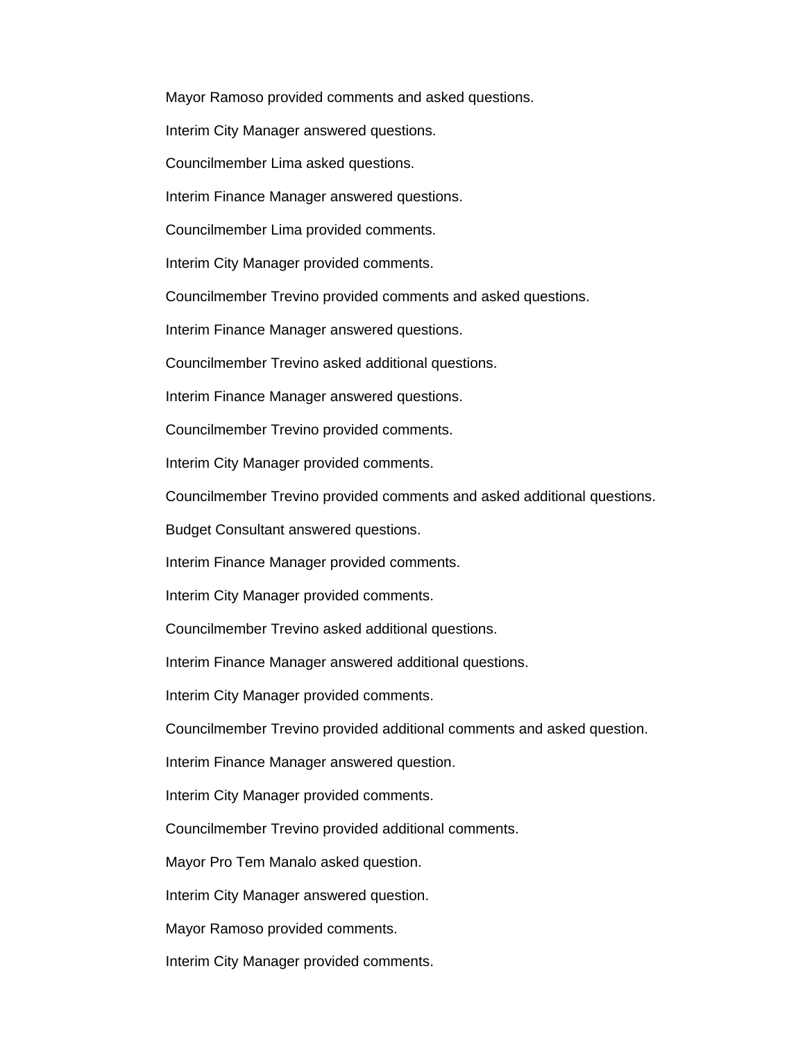Mayor Ramoso provided comments and asked questions.

Interim City Manager answered questions.

Councilmember Lima asked questions.

Interim Finance Manager answered questions.

Councilmember Lima provided comments.

Interim City Manager provided comments.

Councilmember Trevino provided comments and asked questions.

Interim Finance Manager answered questions.

Councilmember Trevino asked additional questions.

Interim Finance Manager answered questions.

Councilmember Trevino provided comments.

Interim City Manager provided comments.

Councilmember Trevino provided comments and asked additional questions.

Budget Consultant answered questions.

Interim Finance Manager provided comments.

Interim City Manager provided comments.

Councilmember Trevino asked additional questions.

Interim Finance Manager answered additional questions.

Interim City Manager provided comments.

Councilmember Trevino provided additional comments and asked question.

Interim Finance Manager answered question.

Interim City Manager provided comments.

Councilmember Trevino provided additional comments.

Mayor Pro Tem Manalo asked question.

Interim City Manager answered question.

Mayor Ramoso provided comments.

Interim City Manager provided comments.